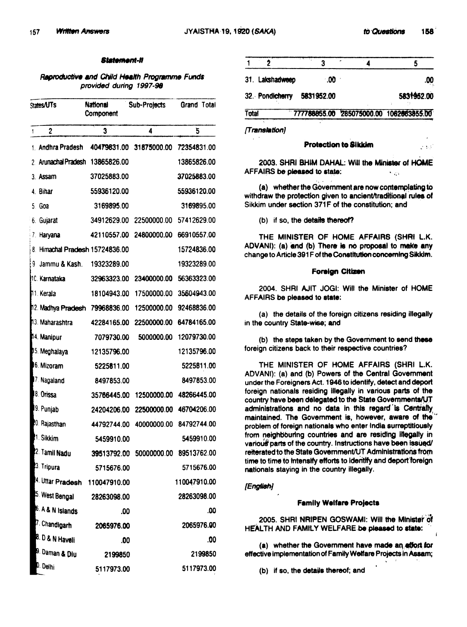$\sim 5.5^{\prime}$ 

### Statement-II

# Reproductive and Child Health Programme Funds provided during 1997-98

| States/UTs |                                 | National<br>Component | <b>Sub-Projects</b> | Grand Total  |  |
|------------|---------------------------------|-----------------------|---------------------|--------------|--|
| 1          | 2                               | 3                     | 4                   | 5            |  |
|            | 1. Andhra Pradesh               | 40479831.00           | 31875000.00         | 72354831.00  |  |
|            | 2 Aninachal Pradesh             | 13865826.00           |                     | 13865826.00  |  |
|            | 3. Assam                        | 37025883.00           |                     | 37025883.00  |  |
|            | 4. Bihar                        | 55936120.00           |                     | 55936120.00  |  |
| 5.         | Goa                             | 3169895.00            |                     | 3169895.00   |  |
|            | 6. Gujarat                      | 34912629.00           | 22500000.00         | 57412629.00  |  |
|            | 7. Haryana                      | 42110557.00           | 24800000.00         | 66910557.00  |  |
|            | 8. Himachal Pradesh 15724836.00 |                       |                     | 15724836.00  |  |
| 9          | Jammu & Kash.                   | 19323289.00           |                     | 19323289.00  |  |
|            | <b>MC. Karnataka</b>            | 32963323.00           | 23400000.00         | 56363323.00  |  |
|            | <b>1</b> 1. Kerala              | 18104943.00           | 17500000.00         | 35604943.00  |  |
|            | 12. Madhya Pradesh 79968836.00  |                       | 12500000.00         | 92468836.00  |  |
|            | 13. Maharashtra                 | 42284165.00           | 22500000.00         | 64784165.00  |  |
|            | 14. Manipur                     | 7079730.00            | 5000000.00          | 12079730.00  |  |
|            | 15. Meghalaya                   | 12135796.00           |                     | 12135796.00  |  |
|            | 6. Mizoram                      | 5225811.00            |                     | 5225811.00   |  |
|            | 7. Nagaland                     | 8497853.00            |                     | 8497853.00   |  |
|            | 8. Orissa                       | 35766445.00           | 12500000.00         | 48266445.00  |  |
|            | 9. Punjab                       | 24204206.00           | 22500000.00         | 46704206.00  |  |
|            | 20. Rajasthan                   | 44792744.00           | 40000000.00         | 84792744.00  |  |
|            | 1. Sikkim                       | 5459910.00            |                     | 5459910.00   |  |
|            | 2. Tamil Nadu                   | 39513792.00           | 50000000.00         | 89513762.00  |  |
|            | 3. Tripura                      | 5715676.00            |                     | 5715676.00   |  |
|            | 4. Uttar Pradesh                | 110047910.00          |                     | 110047910.00 |  |
|            | <sup>5</sup> . West Bengal      | 28263098.00           |                     | 28263098.00  |  |
|            | 6. A & N Islands                | .00                   |                     | .00          |  |
|            | 7. Chandigarh                   | 2065976.00            |                     | 2065976.00   |  |
|            | 8. D & N Haveli                 | .00                   |                     | .00          |  |
|            | i <sup>9. Daman &amp; Diu</sup> | 2199850               |                     | 2199850      |  |
|            | D. Delhi                        | 5117973.00            |                     | 5117973.00   |  |

|       | 31. Lakshadweep | ∴00                        | .00                                     |
|-------|-----------------|----------------------------|-----------------------------------------|
|       |                 | 32. Pondicherry 5831952.00 | 5831952.00                              |
| Total |                 |                            | 777788855.00 285075000.00 1062863855.00 |
|       |                 |                            |                                         |

*[TtamllllrIonj* 

## **Protection to Sikkim**

2003. SHRI BHIM DAHAL: Will the Minister of HOME AFFAIRS be pieased to state:  $\qquad \qquad \ldots$ 

(a) whether the Government are now contemplating to withdraw the protection given to ancient/traditional rules of Sikkim under section 371F of the constitution; and

(b) if so, the details thereof?

THE MINISTER OF HOME AFFAIRS (SHRI L.K. ADVANI): (a) and (b) There is no proposal to make any change to Article 391 F of the Constitution concerning Sikkim.

### Foreign Citizen

2004. SHRI AJIT JOGI: Will the Minister of HOME AFFAIRS be pleased to state:

(a) the details of the foreign citizens residing illegally in the country State-wise; and

(b) the steps taken by the Government to send these foreign citizens back to their respective countries?

THE MINISTER OF HOME AFFAIRS (SHRI L.K. ADVANI): (a) and (b) Powers of the Central Govemment under the Foreigners Act. 1946 to identify, detect and deport foreign nationals residing Illegally in various parts of the country have been delegated to the State Governments/UT administrations and no data in this regard is Centrally maintained. The Government is, however, aware of the problem of foreign nationals who enter India surreptitiously from neighbouring countries and are residing illegally in. various parts of the country. Instructions have been issued/ reiterated to the State Government/UT Administrations from time to time to intensify efforts to identify and deport foreign nationals staying in the country illegally.

# *{English!*

## **Family Welfare Projects**

2005. SHRI NRIPEN GOSWAMI: Will the Minister 'Of HEALTH AND FAMILY WELFARE be pleased to state:

(a) whether the Government have made an effort for effective implementation of Family Welfare Projects in Assam;

 $(b)$  if so, the details thereof; and